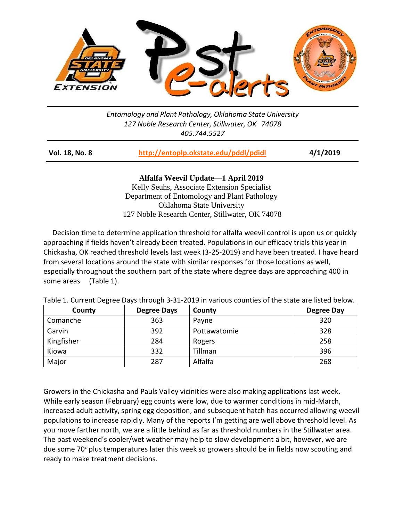

*Entomology and Plant Pathology, Oklahoma State University 127 Noble Research Center, Stillwater, OK 74078 405.744.5527*

| Vol. 18, No. 8 | http://entoplp.okstate.edu/pddl/pdidl | 4/1/2019 |
|----------------|---------------------------------------|----------|
|                |                                       |          |

**Alfalfa Weevil Update—1 April 2019**

Kelly Seuhs, Associate Extension Specialist Department of Entomology and Plant Pathology Oklahoma State University 127 Noble Research Center, Stillwater, OK 74078

 Decision time to determine application threshold for alfalfa weevil control is upon us or quickly approaching if fields haven't already been treated. Populations in our efficacy trials this year in Chickasha, OK reached threshold levels last week (3-25-2019) and have been treated. I have heard from several locations around the state with similar responses for those locations as well, especially throughout the southern part of the state where degree days are approaching 400 in some areas (Table 1).

| County     | <b>Degree Days</b> | County       | <b>Degree Day</b> |
|------------|--------------------|--------------|-------------------|
| Comanche   | 363                | Payne        | 320               |
| Garvin     | 392                | Pottawatomie | 328               |
| Kingfisher | 284                | Rogers       | 258               |
| Kiowa      | 332                | Tillman      | 396               |
| Major      | 287                | Alfalfa      | 268               |

Table 1. Current Degree Days through 3‐31‐2019 in various counties of the state are listed below.

Growers in the Chickasha and Pauls Valley vicinities were also making applications last week. While early season (February) egg counts were low, due to warmer conditions in mid-March, increased adult activity, spring egg deposition, and subsequent hatch has occurred allowing weevil populations to increase rapidly. Many of the reports I'm getting are well above threshold level. As you move farther north, we are a little behind as far as threshold numbers in the Stillwater area. The past weekend's cooler/wet weather may help to slow development a bit, however, we are due some 70 $\degree$  plus temperatures later this week so growers should be in fields now scouting and ready to make treatment decisions.